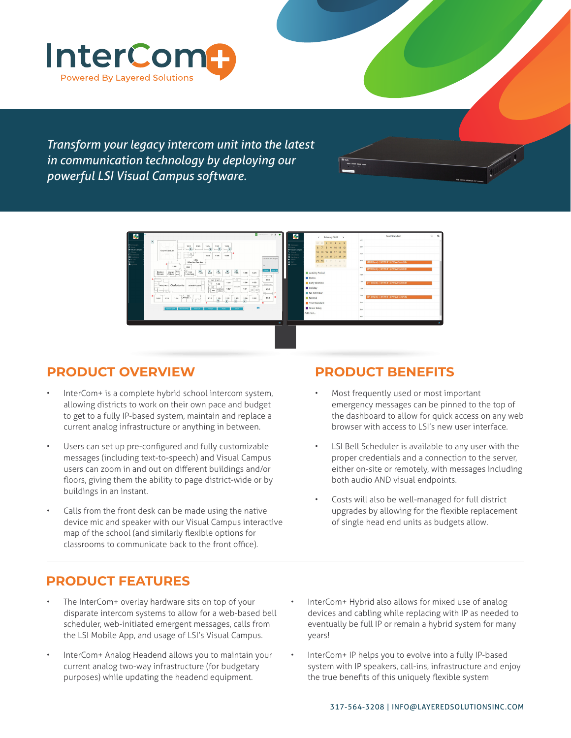

*Transform your legacy intercom unit into the latest in communication technology by deploying our powerful LSI Visual Campus software.* 



## **PRODUCT OVERVIEW**

- InterCom+ is a complete hybrid school intercom system, allowing districts to work on their own pace and budget to get to a fully IP-based system, maintain and replace a current analog infrastructure or anything in between.
- Users can set up pre-configured and fully customizable messages (including text-to-speech) and Visual Campus users can zoom in and out on different buildings and/or floors, giving them the ability to page district-wide or by buildings in an instant.
- Calls from the front desk can be made using the native device mic and speaker with our Visual Campus interactive map of the school (and similarly flexible options for classrooms to communicate back to the front office).

## **PRODUCT BENEFITS**

- Most frequently used or most important emergency messages can be pinned to the top of the dashboard to allow for quick access on any web browser with access to LSI's new user interface.
- LSI Bell Scheduler is available to any user with the proper credentials and a connection to the server, either on-site or remotely, with messages including both audio AND visual endpoints.
- Costs will also be well-managed for full district upgrades by allowing for the flexible replacement of single head end units as budgets allow.

## **PRODUCT FEATURES**

- The InterCom+ overlay hardware sits on top of your disparate intercom systems to allow for a web-based bell scheduler, web-initiated emergent messages, calls from the LSI Mobile App, and usage of LSI's Visual Campus.
- InterCom+ Analog Headend allows you to maintain your current analog two-way infrastructure (for budgetary purposes) while updating the headend equipment.
- InterCom+ Hybrid also allows for mixed use of analog devices and cabling while replacing with IP as needed to eventually be full IP or remain a hybrid system for many years!
- InterCom+ IP helps you to evolve into a fully IP-based system with IP speakers, call-ins, infrastructure and enjoy the true benefits of this uniquely flexible system